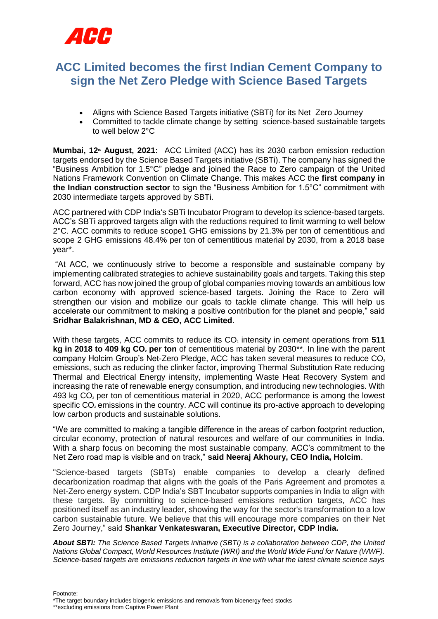

## **ACC Limited becomes the first Indian Cement Company to sign the Net Zero Pledge with Science Based Targets**

- Aligns with Science Based Targets initiative (SBTi) for its Net Zero Journey
- Committed to tackle climate change by setting science-based sustainable targets to well below 2°C

**Mumbai, 12<sup>th</sup> August, 2021:** ACC Limited (ACC) has its 2030 carbon emission reduction targets endorsed by the Science Based Targets initiative (SBTi). The company has signed the "Business Ambition for 1.5°C" pledge and joined the Race to Zero campaign of the United Nations Framework Convention on Climate Change. This makes ACC the **first company in the Indian construction sector** to sign the "Business Ambition for 1.5°C" commitment with 2030 intermediate targets approved by SBTi.

ACC partnered with CDP India's SBTi Incubator Program to develop its science-based targets. ACC's SBTi approved targets align with the reductions required to limit warming to well below 2°C. ACC commits to reduce scope1 GHG emissions by 21.3% per ton of cementitious and scope 2 GHG emissions 48.4% per ton of cementitious material by 2030, from a 2018 base year\*.

"At ACC, we continuously strive to become a responsible and sustainable company by implementing calibrated strategies to achieve sustainability goals and targets. Taking this step forward, ACC has now joined the group of global companies moving towards an ambitious low carbon economy with approved science-based targets. Joining the Race to Zero will strengthen our vision and mobilize our goals to tackle climate change. This will help us accelerate our commitment to making a positive contribution for the planet and people," said **Sridhar Balakrishnan, MD & CEO, ACC Limited**.

With these targets, ACC commits to reduce its CO<sub>2</sub> intensity in cement operations from 511 **kg in 2018 to 409 kg CO<sup>2</sup> per ton** of cementitious material by 2030\*\*. In line with the parent company Holcim Group's Net-Zero Pledge, ACC has taken several measures to reduce CO. emissions, such as reducing the clinker factor, improving Thermal Substitution Rate reducing Thermal and Electrical Energy intensity, implementing Waste Heat Recovery System and increasing the rate of renewable energy consumption, and introducing new technologies. With 493 kg CO<sub>2</sub> per ton of cementitious material in 2020, ACC performance is among the lowest specific CO<sub>2</sub> emissions in the country. ACC will continue its pro-active approach to developing low carbon products and sustainable solutions.

"We are committed to making a tangible difference in the areas of carbon footprint reduction, circular economy, protection of natural resources and welfare of our communities in India. With a sharp focus on becoming the most sustainable company, ACC's commitment to the Net Zero road map is visible and on track," **said Neeraj Akhoury, CEO India, Holcim**.

"Science-based targets (SBTs) enable companies to develop a clearly defined decarbonization roadmap that aligns with the goals of the Paris Agreement and promotes a Net-Zero energy system. CDP India's SBT Incubator supports companies in India to align with these targets. By committing to science-based emissions reduction targets, ACC has positioned itself as an industry leader, showing the way for the sector's transformation to a low carbon sustainable future. We believe that this will encourage more companies on their Net Zero Journey," said **Shankar Venkateswaran, Executive Director, CDP India.**

*About SBTi: The Science Based Targets initiative (SBTi) is a collaboration between CDP, the United Nations Global Compact, World Resources Institute (WRI) and the World Wide Fund for Nature (WWF). Science-based targets are emissions reduction targets in line with what the latest climate science says* 

Footnote: \*The target boundary includes biogenic emissions and removals from bioenergy feed stocks \*\*excluding emissions from Captive Power Plant